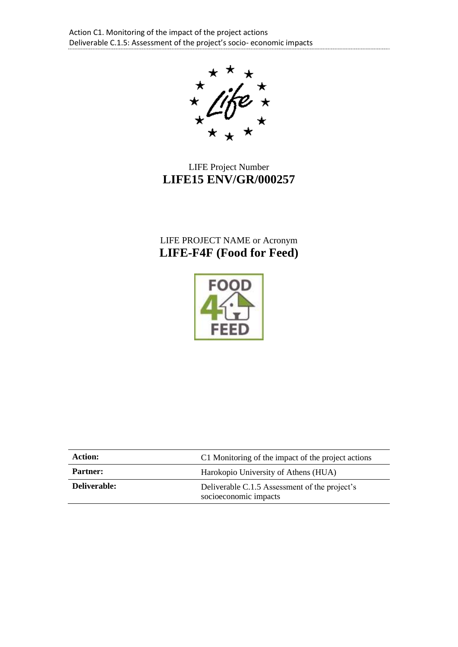

# LIFE Project Number **LIFE15 ENV/GR/000257**

## LIFE PROJECT NAME or Acronym **LIFE-F4F (Food for Feed)**



| <b>Action:</b>  | C1 Monitoring of the impact of the project actions                     |
|-----------------|------------------------------------------------------------------------|
| <b>Partner:</b> | Harokopio University of Athens (HUA)                                   |
| Deliverable:    | Deliverable C.1.5 Assessment of the project's<br>socioeconomic impacts |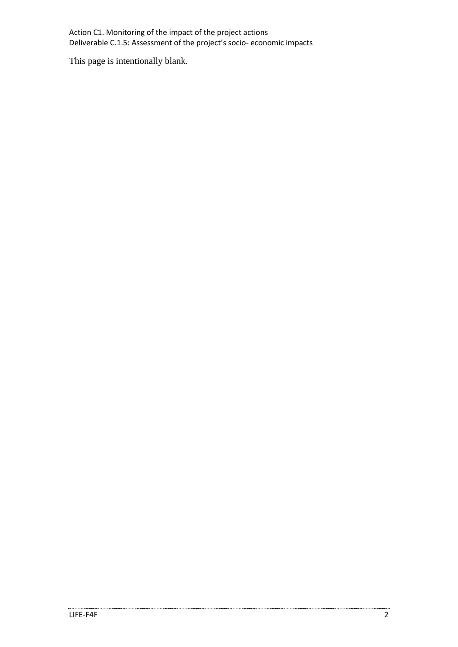This page is intentionally blank.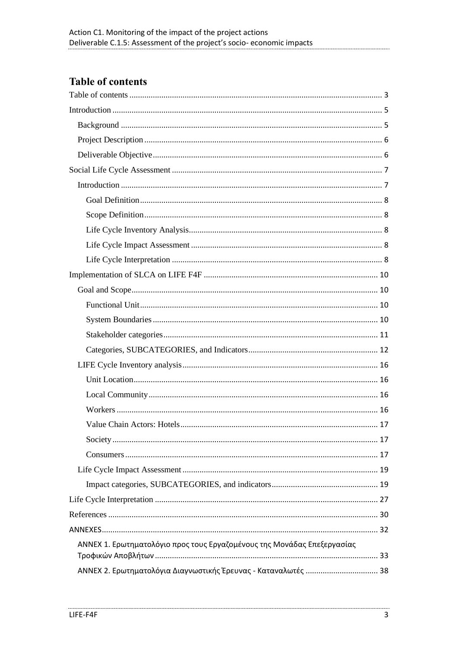# <span id="page-2-0"></span>**Table of contents**

| ΑΝΝΕΧ 1. Ερωτηματολόγιο προς τους Εργαζομένους της Μονάδας Επεξεργασίας |  |
|-------------------------------------------------------------------------|--|
|                                                                         |  |
| ΑΝΝΕΧ 2. Ερωτηματολόγια Διαγνωστικής Έρευνας - Καταναλωτές  38          |  |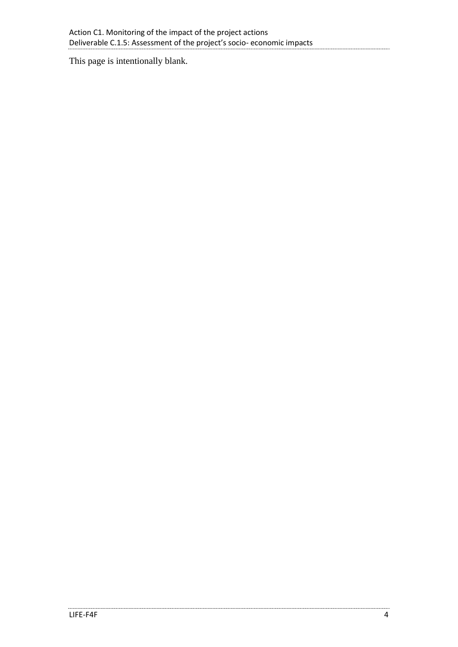This page is intentionally blank.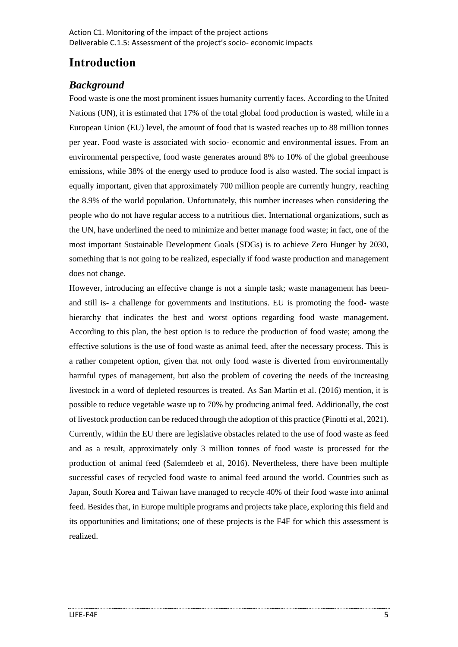# <span id="page-4-0"></span>**Introduction**

## <span id="page-4-1"></span>*Background*

Food waste is one the most prominent issues humanity currently faces. According to the United Nations (UN), it is estimated that 17% of the total global food production is wasted, while in a European Union (EU) level, the amount of food that is wasted reaches up to 88 million tonnes per year. Food waste is associated with socio- economic and environmental issues. From an environmental perspective, food waste generates around 8% to 10% of the global greenhouse emissions, while 38% of the energy used to produce food is also wasted. The social impact is equally important, given that approximately 700 million people are currently hungry, reaching the 8.9% of the world population. Unfortunately, this number increases when considering the people who do not have regular access to a nutritious diet. International organizations, such as the UN, have underlined the need to minimize and better manage food waste; in fact, one of the most important Sustainable Development Goals (SDGs) is to achieve Zero Hunger by 2030, something that is not going to be realized, especially if food waste production and management does not change.

However, introducing an effective change is not a simple task; waste management has beenand still is- a challenge for governments and institutions. EU is promoting the food- waste hierarchy that indicates the best and worst options regarding food waste management. According to this plan, the best option is to reduce the production of food waste; among the effective solutions is the use of food waste as animal feed, after the necessary process. This is a rather competent option, given that not only food waste is diverted from environmentally harmful types of management, but also the problem of covering the needs of the increasing livestock in a word of depleted resources is treated. As San Martin et al. (2016) mention, it is possible to reduce vegetable waste up to 70% by producing animal feed. Additionally, the cost of livestock production can be reduced through the adoption of this practice (Pinotti et al, 2021). Currently, within the EU there are legislative obstacles related to the use of food waste as feed and as a result, approximately only 3 million tonnes of food waste is processed for the production of animal feed (Salemdeeb et al, 2016). Nevertheless, there have been multiple successful cases of recycled food waste to animal feed around the world. Countries such as Japan, South Korea and Taiwan have managed to recycle 40% of their food waste into animal feed. Besides that, in Europe multiple programs and projects take place, exploring this field and its opportunities and limitations; one of these projects is the F4F for which this assessment is realized.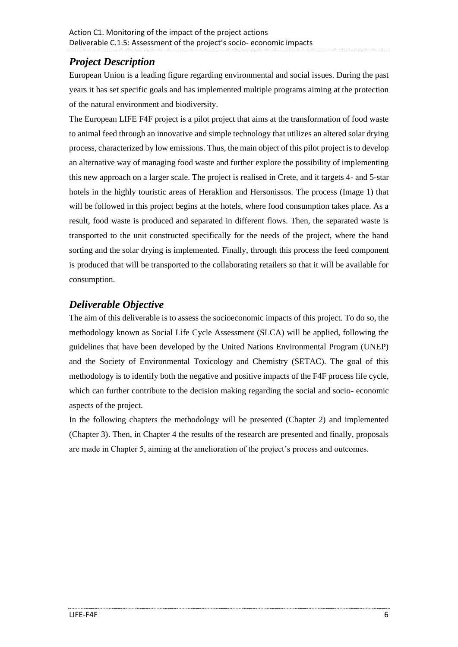## <span id="page-5-0"></span>*Project Description*

European Union is a leading figure regarding environmental and social issues. During the past years it has set specific goals and has implemented multiple programs aiming at the protection of the natural environment and biodiversity.

The European LIFE F4F project is a pilot project that aims at the transformation of food waste to animal feed through an innovative and simple technology that utilizes an altered solar drying process, characterized by low emissions. Thus, the main object of this pilot project is to develop an alternative way of managing food waste and further explore the possibility of implementing this new approach on a larger scale. The project is realised in Crete, and it targets 4- and 5-star hotels in the highly touristic areas of Heraklion and Hersonissos. The process (Image 1) that will be followed in this project begins at the hotels, where food consumption takes place. As a result, food waste is produced and separated in different flows. Then, the separated waste is transported to the unit constructed specifically for the needs of the project, where the hand sorting and the solar drying is implemented. Finally, through this process the feed component is produced that will be transported to the collaborating retailers so that it will be available for consumption.

## <span id="page-5-1"></span>*Deliverable Objective*

The aim of this deliverable is to assess the socioeconomic impacts of this project. To do so, the methodology known as Social Life Cycle Assessment (SLCA) will be applied, following the guidelines that have been developed by the United Nations Environmental Program (UNEP) and the Society of Environmental Toxicology and Chemistry (SETAC). The goal of this methodology is to identify both the negative and positive impacts of the F4F process life cycle, which can further contribute to the decision making regarding the social and socio- economic aspects of the project.

In the following chapters the methodology will be presented (Chapter 2) and implemented (Chapter 3). Then, in Chapter 4 the results of the research are presented and finally, proposals are made in Chapter 5, aiming at the amelioration of the project's process and outcomes.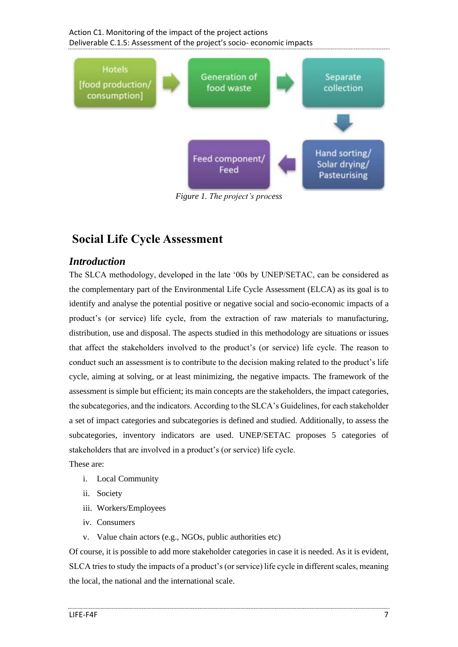Action C1. Monitoring of the impact of the project actions Deliverable C.1.5: Assessment of the project's socio- economic impacts



*Figure 1. The project's process*

# <span id="page-6-0"></span>**Social Life Cycle Assessment**

### <span id="page-6-1"></span>*Introduction*

The SLCA methodology, developed in the late '00s by UNEP/SETAC, can be considered as the complementary part of the Environmental Life Cycle Assessment (ELCA) as its goal is to identify and analyse the potential positive or negative social and socio-economic impacts of a product's (or service) life cycle, from the extraction of raw materials to manufacturing, distribution, use and disposal. The aspects studied in this methodology are situations or issues that affect the stakeholders involved to the product's (or service) life cycle. The reason to conduct such an assessment is to contribute to the decision making related to the product's life cycle, aiming at solving, or at least minimizing, the negative impacts. The framework of the assessment is simple but efficient; its main concepts are the stakeholders, the impact categories, the subcategories, and the indicators. According to the SLCA's Guidelines, for each stakeholder a set of impact categories and subcategories is defined and studied. Additionally, to assess the subcategories, inventory indicators are used. UNEP/SETAC proposes 5 categories of stakeholders that are involved in a product's (or service) life cycle.

These are:

- i. Local Community
- ii. Society
- iii. Workers/Employees
- iv. Consumers
- v. Value chain actors (e.g., NGOs, public authorities etc)

Of course, it is possible to add more stakeholder categories in case it is needed. As it is evident, SLCA tries to study the impacts of a product's (or service) life cycle in different scales, meaning the local, the national and the international scale.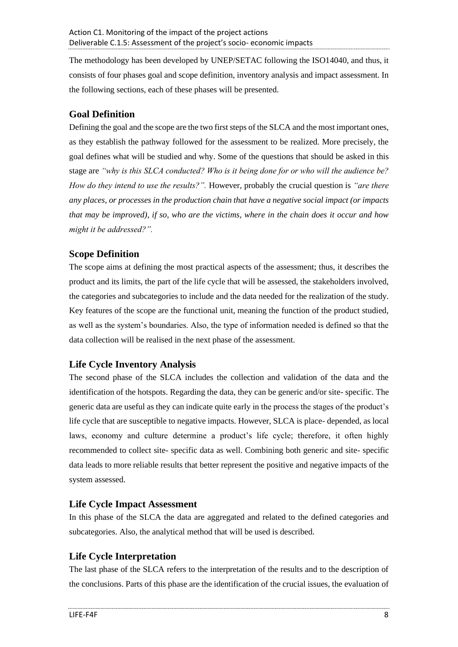The methodology has been developed by UNEP/SETAC following the ISO14040, and thus, it consists of four phases goal and scope definition, inventory analysis and impact assessment. In the following sections, each of these phases will be presented.

## <span id="page-7-0"></span>**Goal Definition**

Defining the goal and the scope are the two first steps of the SLCA and the most important ones, as they establish the pathway followed for the assessment to be realized. More precisely, the goal defines what will be studied and why. Some of the questions that should be asked in this stage are *"why is this SLCA conducted? Who is it being done for or who will the audience be? How do they intend to use the results?".* However, probably the crucial question is *"are there any places, or processes in the production chain that have a negative social impact (or impacts that may be improved), if so, who are the victims, where in the chain does it occur and how might it be addressed?".* 

## <span id="page-7-1"></span>**Scope Definition**

The scope aims at defining the most practical aspects of the assessment; thus, it describes the product and its limits, the part of the life cycle that will be assessed, the stakeholders involved, the categories and subcategories to include and the data needed for the realization of the study. Key features of the scope are the functional unit, meaning the function of the product studied, as well as the system's boundaries. Also, the type of information needed is defined so that the data collection will be realised in the next phase of the assessment.

### <span id="page-7-2"></span>**Life Cycle Inventory Analysis**

The second phase of the SLCA includes the collection and validation of the data and the identification of the hotspots. Regarding the data, they can be generic and/or site- specific. The generic data are useful as they can indicate quite early in the process the stages of the product's life cycle that are susceptible to negative impacts. However, SLCA is place- depended, as local laws, economy and culture determine a product's life cycle; therefore, it often highly recommended to collect site- specific data as well. Combining both generic and site- specific data leads to more reliable results that better represent the positive and negative impacts of the system assessed.

## <span id="page-7-3"></span>**Life Cycle Impact Assessment**

In this phase of the SLCA the data are aggregated and related to the defined categories and subcategories. Also, the analytical method that will be used is described.

## <span id="page-7-4"></span>**Life Cycle Interpretation**

The last phase of the SLCA refers to the interpretation of the results and to the description of the conclusions. Parts of this phase are the identification of the crucial issues, the evaluation of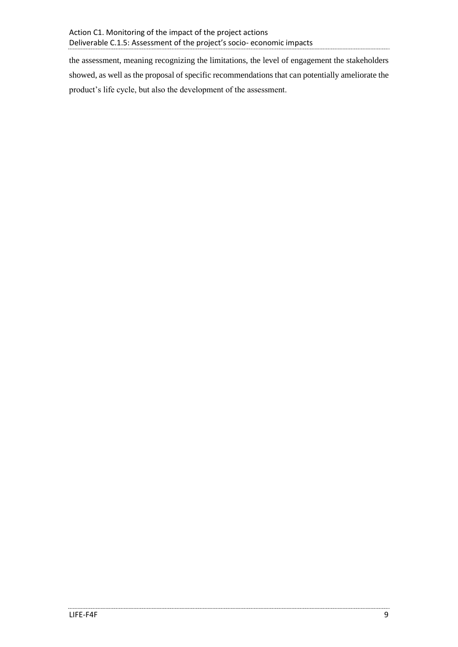the assessment, meaning recognizing the limitations, the level of engagement the stakeholders showed, as well as the proposal of specific recommendations that can potentially ameliorate the product's life cycle, but also the development of the assessment.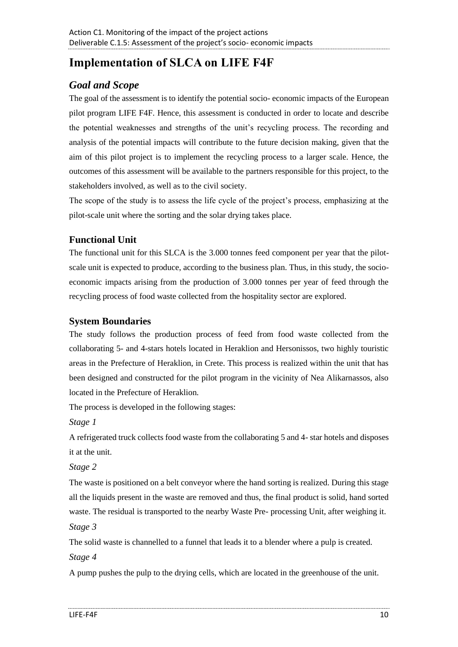# <span id="page-9-0"></span>**Implementation of SLCA on LIFE F4F**

## <span id="page-9-1"></span>*Goal and Scope*

The goal of the assessment is to identify the potential socio- economic impacts of the European pilot program LIFE F4F. Hence, this assessment is conducted in order to locate and describe the potential weaknesses and strengths of the unit's recycling process. The recording and analysis of the potential impacts will contribute to the future decision making, given that the aim of this pilot project is to implement the recycling process to a larger scale. Hence, the outcomes of this assessment will be available to the partners responsible for this project, to the stakeholders involved, as well as to the civil society.

The scope of the study is to assess the life cycle of the project's process, emphasizing at the pilot-scale unit where the sorting and the solar drying takes place.

### <span id="page-9-2"></span>**Functional Unit**

The functional unit for this SLCA is the 3.000 tonnes feed component per year that the pilotscale unit is expected to produce, according to the business plan. Thus, in this study, the socioeconomic impacts arising from the production of 3.000 tonnes per year of feed through the recycling process of food waste collected from the hospitality sector are explored.

#### <span id="page-9-3"></span>**System Boundaries**

The study follows the production process of feed from food waste collected from the collaborating 5- and 4-stars hotels located in Heraklion and Hersonissos, two highly touristic areas in the Prefecture of Heraklion, in Crete. This process is realized within the unit that has been designed and constructed for the pilot program in the vicinity of Nea Alikarnassos, also located in the Prefecture of Heraklion.

The process is developed in the following stages:

*Stage 1*

A refrigerated truck collects food waste from the collaborating 5 and 4- star hotels and disposes it at the unit.

*Stage 2*

The waste is positioned on a belt conveyor where the hand sorting is realized. During this stage all the liquids present in the waste are removed and thus, the final product is solid, hand sorted waste. The residual is transported to the nearby Waste Pre- processing Unit, after weighing it. *Stage 3*

The solid waste is channelled to a funnel that leads it to a blender where a pulp is created.

*Stage 4*

A pump pushes the pulp to the drying cells, which are located in the greenhouse of the unit.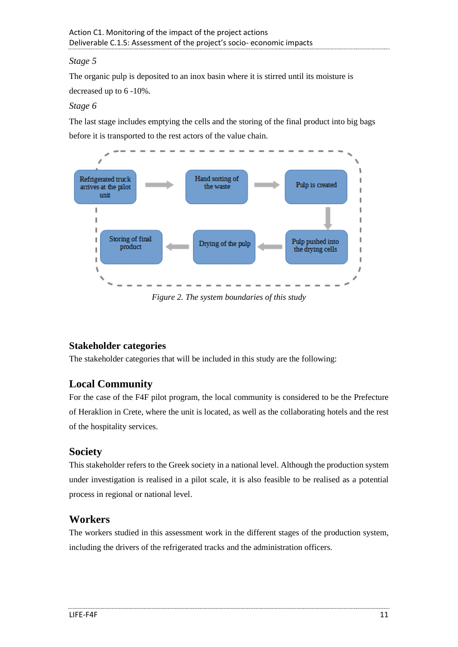#### *Stage 5*

The organic pulp is deposited to an inox basin where it is stirred until its moisture is decreased up to 6 -10%.

#### *Stage 6*

The last stage includes emptying the cells and the storing of the final product into big bags before it is transported to the rest actors of the value chain.



*Figure 2. The system boundaries of this study* 

## <span id="page-10-0"></span>**Stakeholder categories**

The stakeholder categories that will be included in this study are the following:

## **Local Community**

For the case of the F4F pilot program, the local community is considered to be the Prefecture of Heraklion in Crete, where the unit is located, as well as the collaborating hotels and the rest of the hospitality services.

### **Society**

This stakeholder refers to the Greek society in a national level. Although the production system under investigation is realised in a pilot scale, it is also feasible to be realised as a potential process in regional or national level.

## **Workers**

The workers studied in this assessment work in the different stages of the production system, including the drivers of the refrigerated tracks and the administration officers.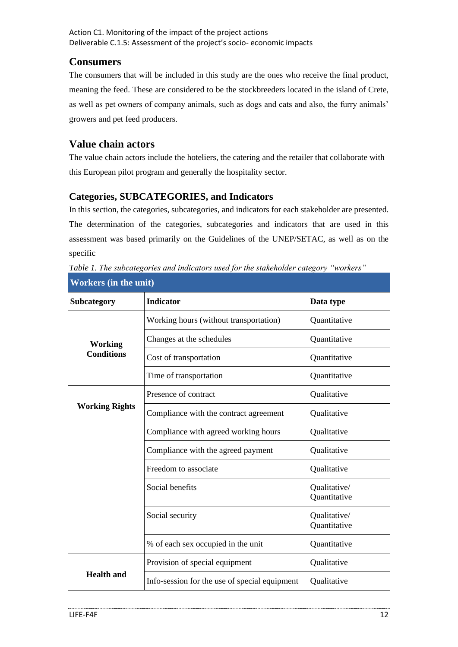## **Consumers**

The consumers that will be included in this study are the ones who receive the final product, meaning the feed. These are considered to be the stockbreeders located in the island of Crete, as well as pet owners of company animals, such as dogs and cats and also, the furry animals' growers and pet feed producers.

## **Value chain actors**

The value chain actors include the hoteliers, the catering and the retailer that collaborate with this European pilot program and generally the hospitality sector.

## <span id="page-11-0"></span>**Categories, SUBCATEGORIES, and Indicators**

In this section, the categories, subcategories, and indicators for each stakeholder are presented. The determination of the categories, subcategories and indicators that are used in this assessment was based primarily on the Guidelines of the UNEP/SETAC, as well as on the specific

|  |                                                                                 | Table 1. The subcategories and indicators used for the stakeholder category "workers" |  |  |  |
|--|---------------------------------------------------------------------------------|---------------------------------------------------------------------------------------|--|--|--|
|  | $\mathbf{W}_{\alpha\mathbf{v}}$ and $\mathbf{w}_{\alpha\mathbf{v}}$ in the unit |                                                                                       |  |  |  |

| <u>WURCLS</u> (III the unit) |                                               |                              |  |
|------------------------------|-----------------------------------------------|------------------------------|--|
| Subcategory                  | <b>Indicator</b>                              | Data type                    |  |
|                              | Working hours (without transportation)        | Quantitative                 |  |
| <b>Working</b>               | Changes at the schedules                      | Quantitative                 |  |
| <b>Conditions</b>            | Cost of transportation                        | Quantitative                 |  |
|                              | Time of transportation                        | Quantitative                 |  |
|                              | Presence of contract                          | Qualitative                  |  |
| <b>Working Rights</b>        | Compliance with the contract agreement        | Qualitative                  |  |
|                              | Compliance with agreed working hours          | Qualitative                  |  |
|                              | Compliance with the agreed payment            | Qualitative                  |  |
|                              | Freedom to associate                          | Qualitative                  |  |
|                              | Social benefits                               | Qualitative/<br>Quantitative |  |
|                              | Social security                               | Qualitative/<br>Quantitative |  |
|                              | % of each sex occupied in the unit            | Quantitative                 |  |
|                              | Provision of special equipment                | Qualitative                  |  |
| <b>Health</b> and            | Info-session for the use of special equipment | Qualitative                  |  |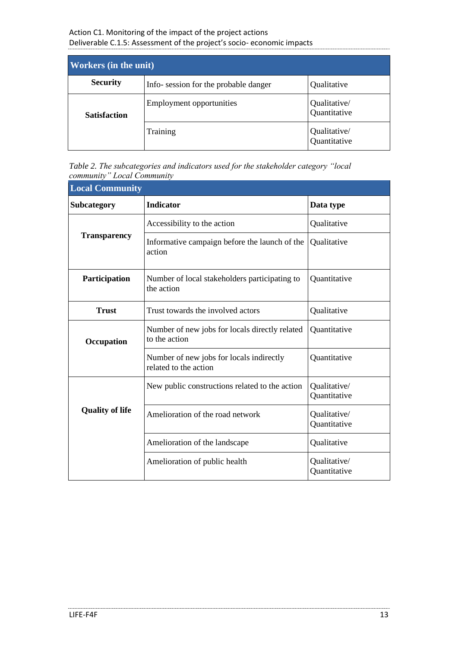#### Action C1. Monitoring of the impact of the project actions Deliverable C.1.5: Assessment of the project's socio- economic impacts

| <b>Workers (in the unit)</b> |                                      |                              |  |
|------------------------------|--------------------------------------|------------------------------|--|
| <b>Security</b>              | Info-session for the probable danger | Qualitative                  |  |
| <b>Satisfaction</b>          | Employment opportunities             | Qualitative/<br>Quantitative |  |
|                              | Training                             | Qualitative/<br>Quantitative |  |

| Table 2. The subcategories and indicators used for the stakeholder category "local |  |
|------------------------------------------------------------------------------------|--|
| community" Local Community                                                         |  |

| <b>Local Community</b> |                                                                   |                              |  |
|------------------------|-------------------------------------------------------------------|------------------------------|--|
| Subcategory            | <b>Indicator</b>                                                  | Data type                    |  |
|                        | Accessibility to the action                                       | Qualitative                  |  |
| <b>Transparency</b>    | Informative campaign before the launch of the<br>action           | Qualitative                  |  |
| Participation          | Number of local stakeholders participating to<br>the action       | Quantitative                 |  |
| <b>Trust</b>           | Trust towards the involved actors                                 | Qualitative                  |  |
| Occupation             | Number of new jobs for locals directly related<br>to the action   | Quantitative                 |  |
|                        | Number of new jobs for locals indirectly<br>related to the action | Quantitative                 |  |
|                        | New public constructions related to the action                    | Qualitative/<br>Quantitative |  |
| <b>Quality of life</b> | Amelioration of the road network                                  | Qualitative/<br>Quantitative |  |
|                        | Amelioration of the landscape                                     | Qualitative                  |  |
|                        | Amelioration of public health                                     | Qualitative/<br>Quantitative |  |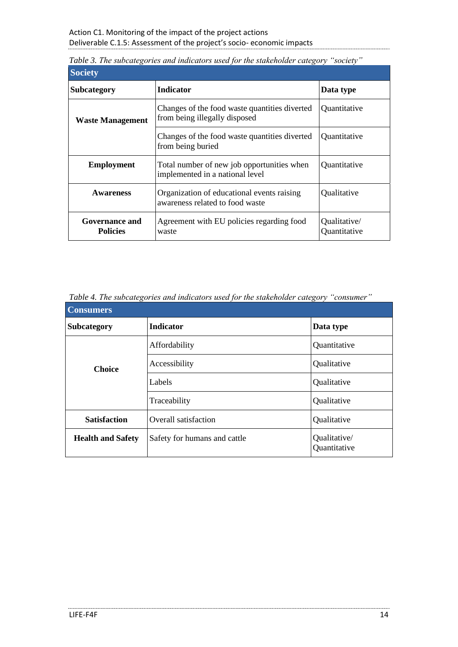| <b>Society</b>                    |                                                                                |                                   |
|-----------------------------------|--------------------------------------------------------------------------------|-----------------------------------|
| <b>Subcategory</b>                | Indicator                                                                      | Data type                         |
| <b>Waste Management</b>           | Changes of the food waste quantities diverted<br>from being illegally disposed | Quantitative                      |
|                                   | Changes of the food waste quantities diverted<br>from being buried             | <i><u><b>Ouantitative</b></u></i> |
| <b>Employment</b>                 | Total number of new job opportunities when<br>implemented in a national level  | Quantitative                      |
| <b>Awareness</b>                  | Organization of educational events raising<br>awareness related to food waste  | Qualitative                       |
| Governance and<br><b>Policies</b> | Agreement with EU policies regarding food<br>waste                             | Qualitative/<br>Quantitative      |

*Table 3. The subcategories and indicators used for the stakeholder category "society"*

|  | Table 4. The subcategories and indicators used for the stakeholder category "consumer" |  |  |  |  |
|--|----------------------------------------------------------------------------------------|--|--|--|--|
|--|----------------------------------------------------------------------------------------|--|--|--|--|

| <b>Consumers</b>         |                              |                              |
|--------------------------|------------------------------|------------------------------|
| <b>Subcategory</b>       | <b>Indicator</b>             | Data type                    |
|                          | Affordability                | Quantitative                 |
| <b>Choice</b>            | Accessibility                | Qualitative                  |
|                          | Labels                       | Qualitative                  |
|                          | Traceability                 | Qualitative                  |
| <b>Satisfaction</b>      | Overall satisfaction         | Qualitative                  |
| <b>Health and Safety</b> | Safety for humans and cattle | Qualitative/<br>Quantitative |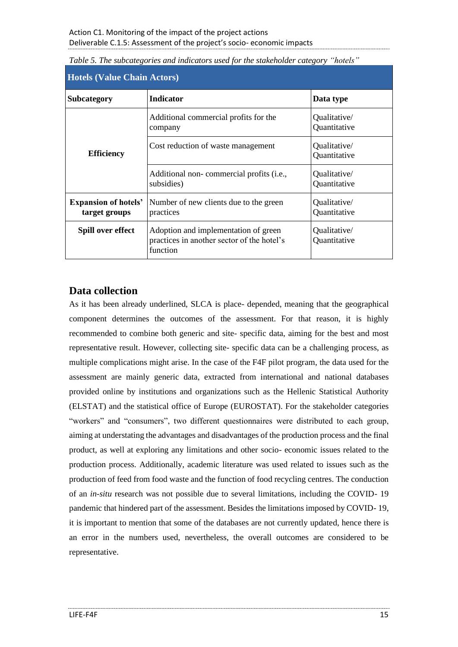| <b>Hotels (Value Chain Actors)</b>           |                                                                                                |                              |  |
|----------------------------------------------|------------------------------------------------------------------------------------------------|------------------------------|--|
| <b>Subcategory</b>                           | <b>Indicator</b>                                                                               | Data type                    |  |
| <b>Efficiency</b>                            | Additional commercial profits for the<br>company                                               | Qualitative/<br>Quantitative |  |
|                                              | Cost reduction of waste management                                                             | Qualitative/<br>Quantitative |  |
|                                              | Additional non-commercial profits (i.e.,<br>subsidies)                                         | Qualitative/<br>Quantitative |  |
| <b>Expansion of hotels'</b><br>target groups | Number of new clients due to the green<br>practices                                            | Qualitative/<br>Quantitative |  |
| Spill over effect                            | Adoption and implementation of green<br>practices in another sector of the hotel's<br>function | Qualitative/<br>Quantitative |  |

|  |  | Table 5. The subcategories and indicators used for the stakeholder category "hotels" |  |
|--|--|--------------------------------------------------------------------------------------|--|
|  |  |                                                                                      |  |

## **Data collection**

As it has been already underlined, SLCA is place- depended, meaning that the geographical component determines the outcomes of the assessment. For that reason, it is highly recommended to combine both generic and site- specific data, aiming for the best and most representative result. However, collecting site- specific data can be a challenging process, as multiple complications might arise. In the case of the F4F pilot program, the data used for the assessment are mainly generic data, extracted from international and national databases provided online by institutions and organizations such as the Hellenic Statistical Authority (ELSTAT) and the statistical office of Europe (EUROSTAT). For the stakeholder categories "workers" and "consumers", two different questionnaires were distributed to each group, aiming at understating the advantages and disadvantages of the production process and the final product, as well at exploring any limitations and other socio- economic issues related to the production process. Additionally, academic literature was used related to issues such as the production of feed from food waste and the function of food recycling centres. The conduction of an *in-situ* research was not possible due to several limitations, including the COVID- 19 pandemic that hindered part of the assessment. Besides the limitations imposed by COVID- 19, it is important to mention that some of the databases are not currently updated, hence there is an error in the numbers used, nevertheless, the overall outcomes are considered to be representative.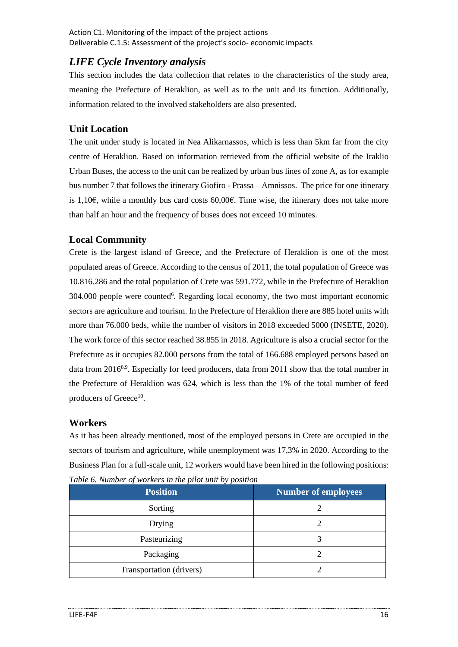## <span id="page-15-0"></span>*LIFE Cycle Inventory analysis*

This section includes the data collection that relates to the characteristics of the study area, meaning the Prefecture of Heraklion, as well as to the unit and its function. Additionally, information related to the involved stakeholders are also presented.

### <span id="page-15-1"></span>**Unit Location**

The unit under study is located in Nea Alikarnassos, which is less than 5km far from the city centre of Heraklion. Based on information retrieved from the official website of the Iraklio Urban Buses, the access to the unit can be realized by urban bus lines of zone A, as for example bus number 7 that follows the itinerary Giofiro - Prassa – Amnissos. The price for one itinerary is 1,10€, while a monthly bus card costs 60,00€. Time wise, the itinerary does not take more than half an hour and the frequency of buses does not exceed 10 minutes.

## <span id="page-15-2"></span>**Local Community**

Crete is the largest island of Greece, and the Prefecture of Heraklion is one of the most populated areas of Greece. According to the census of 2011, the total population of Greece was 10.816.286 and the total population of Crete was 591.772, while in the Prefecture of Heraklion 304.000 people were counted<sup>6</sup>. Regarding local economy, the two most important economic sectors are agriculture and tourism. In the Prefecture of Heraklion there are 885 hotel units with more than 76.000 beds, while the number of visitors in 2018 exceeded 5000 (INSETE, 2020). The work force of this sector reached 38.855 in 2018. Agriculture is also a crucial sector for the Prefecture as it occupies 82.000 persons from the total of 166.688 employed persons based on data from  $2016^{8.9}$ . Especially for feed producers, data from 2011 show that the total number in the Prefecture of Heraklion was 624, which is less than the 1% of the total number of feed producers of Greece<sup>10</sup>.

#### <span id="page-15-3"></span>**Workers**

As it has been already mentioned, most of the employed persons in Crete are occupied in the sectors of tourism and agriculture, while unemployment was 17,3% in 2020. According to the Business Plan for a full-scale unit, 12 workers would have been hired in the following positions: *Table 6. Number of workers in the pilot unit by position*

| . .<br><b>Position</b>   | <b>Number of employees</b> |
|--------------------------|----------------------------|
| Sorting                  |                            |
| <b>Drying</b>            |                            |
| Pasteurizing             |                            |
| Packaging                |                            |
| Transportation (drivers) |                            |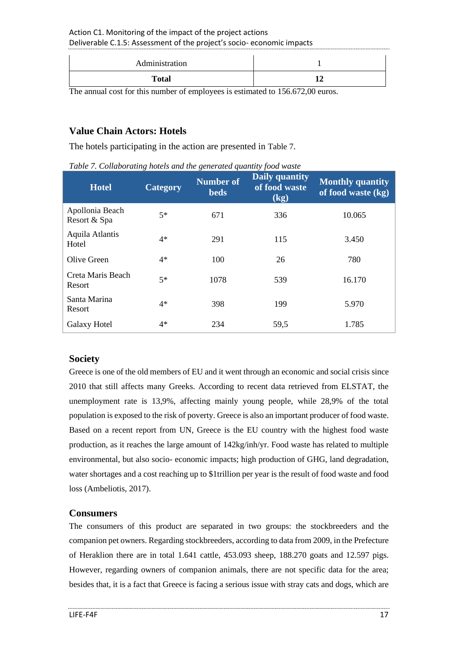| Administration |    |
|----------------|----|
| <b>Total</b>   | 14 |

The annual cost for this number of employees is estimated to 156.672,00 euros.

### <span id="page-16-0"></span>**Value Chain Actors: Hotels**

The hotels participating in the action are presented in [Table 7](#page-16-3).

<span id="page-16-3"></span>*Table 7. Collaborating hotels and the generated quantity food waste*

| <b>Hotel</b>                    | <b>Category</b> | <b>Number of</b><br><b>beds</b> | <b>Daily quantity</b><br>of food waste<br>(kg) | <b>Monthly quantity</b><br>of food waste (kg) |
|---------------------------------|-----------------|---------------------------------|------------------------------------------------|-----------------------------------------------|
| Apollonia Beach<br>Resort & Spa | $5*$            | 671                             | 336                                            | 10.065                                        |
| Aquila Atlantis<br>Hotel        | $4*$            | 291                             | 115                                            | 3.450                                         |
| Olive Green                     | $4*$            | 100                             | 26                                             | 780                                           |
| Creta Maris Beach<br>Resort     | $5*$            | 1078                            | 539                                            | 16.170                                        |
| Santa Marina<br>Resort          | $4*$            | 398                             | 199                                            | 5.970                                         |
| <b>Galaxy Hotel</b>             | $4*$            | 234                             | 59,5                                           | 1.785                                         |

#### <span id="page-16-1"></span>**Society**

Greece is one of the old members of EU and it went through an economic and social crisis since 2010 that still affects many Greeks. According to recent data retrieved from ELSTAT, the unemployment rate is 13,9%, affecting mainly young people, while 28,9% of the total population is exposed to the risk of poverty. Greece is also an important producer of food waste. Based on a recent report from UN, Greece is the EU country with the highest food waste production, as it reaches the large amount of 142kg/inh/yr. Food waste has related to multiple environmental, but also socio- economic impacts; high production of GHG, land degradation, water shortages and a cost reaching up to \$1trillion per year is the result of food waste and food loss (Ambeliotis, 2017).

#### <span id="page-16-2"></span>**Consumers**

The consumers of this product are separated in two groups: the stockbreeders and the companion pet owners. Regarding stockbreeders, according to data from 2009, in the Prefecture of Heraklion there are in total 1.641 cattle, 453.093 sheep, 188.270 goats and 12.597 pigs. However, regarding owners of companion animals, there are not specific data for the area; besides that, it is a fact that Greece is facing a serious issue with stray cats and dogs, which are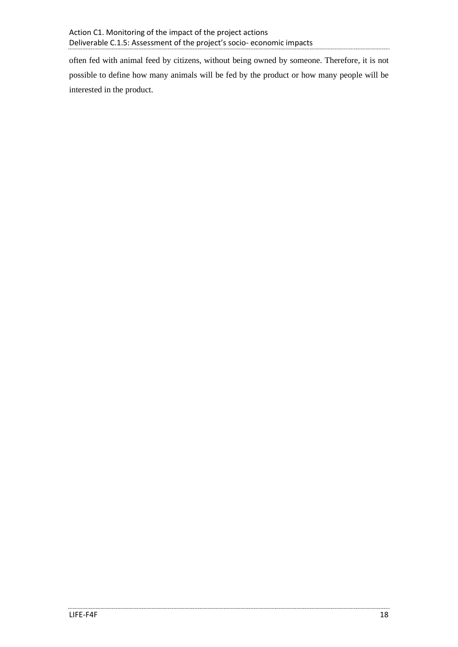often fed with animal feed by citizens, without being owned by someone. Therefore, it is not possible to define how many animals will be fed by the product or how many people will be interested in the product.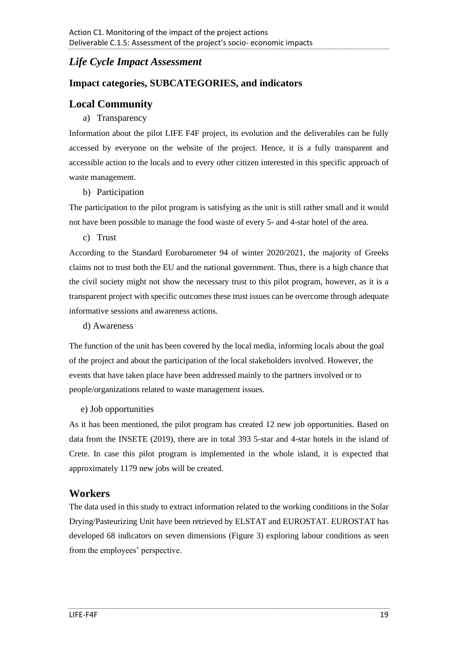## <span id="page-18-0"></span>*Life Cycle Impact Assessment*

### <span id="page-18-1"></span>**Impact categories, SUBCATEGORIES, and indicators**

### **Local Community**

#### a) Transparency

Information about the pilot LIFE F4F project, its evolution and the deliverables can be fully accessed by everyone on the website of the project. Hence, it is a fully transparent and accessible action to the locals and to every other citizen interested in this specific approach of waste management.

#### b) Participation

The participation to the pilot program is satisfying as the unit is still rather small and it would not have been possible to manage the food waste of every 5- and 4-star hotel of the area.

c) Trust

According to the Standard Eurobarometer 94 of winter 2020/2021, the majority of Greeks claims not to trust both the EU and the national government. Thus, there is a high chance that the civil society might not show the necessary trust to this pilot program, however, as it is a transparent project with specific outcomes these trust issues can be overcome through adequate informative sessions and awareness actions.

d) Awareness

The function of the unit has been covered by the local media, informing locals about the goal of the project and about the participation of the local stakeholders involved. However, the events that have taken place have been addressed mainly to the partners involved or to people/organizations related to waste management issues.

#### e) Job opportunities

As it has been mentioned, the pilot program has created 12 new job opportunities. Based on data from the INSETE (2019), there are in total 393 5-star and 4-star hotels in the island of Crete. In case this pilot program is implemented in the whole island, it is expected that approximately 1179 new jobs will be created.

### **Workers**

The data used in this study to extract information related to the working conditions in the Solar Drying/Pasteurizing Unit have been retrieved by ELSTAT and EUROSTAT. EUROSTAT has developed 68 indicators on seven dimensions [\(Figure 3\)](#page-19-0) exploring labour conditions as seen from the employees' perspective.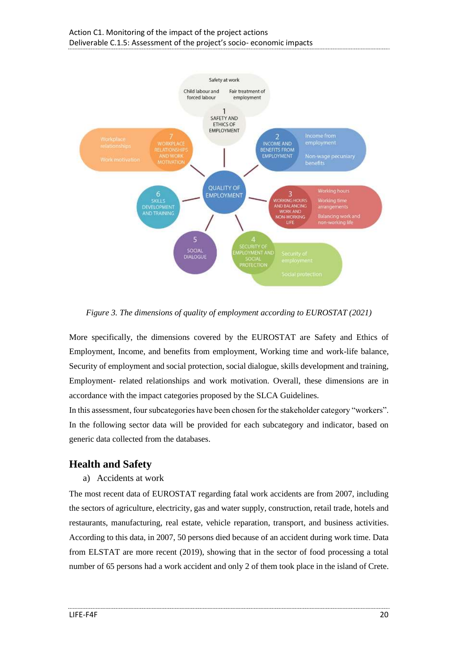

<span id="page-19-0"></span>*Figure 3. The dimensions of quality of employment according to EUROSTAT (2021)*

More specifically, the dimensions covered by the EUROSTAT are Safety and Ethics of Employment, Income, and benefits from employment, Working time and work-life balance, Security of employment and social protection, social dialogue, skills development and training, Employment- related relationships and work motivation. Overall, these dimensions are in accordance with the impact categories proposed by the SLCA Guidelines.

In this assessment, four subcategories have been chosen for the stakeholder category "workers". In the following sector data will be provided for each subcategory and indicator, based on generic data collected from the databases.

## **Health and Safety**

a) Accidents at work

The most recent data of EUROSTAT regarding fatal work accidents are from 2007, including the sectors of agriculture, electricity, gas and water supply, construction, retail trade, hotels and restaurants, manufacturing, real estate, vehicle reparation, transport, and business activities. According to this data, in 2007, 50 persons died because of an accident during work time. Data from ELSTAT are more recent (2019), showing that in the sector of food processing a total number of 65 persons had a work accident and only 2 of them took place in the island of Crete.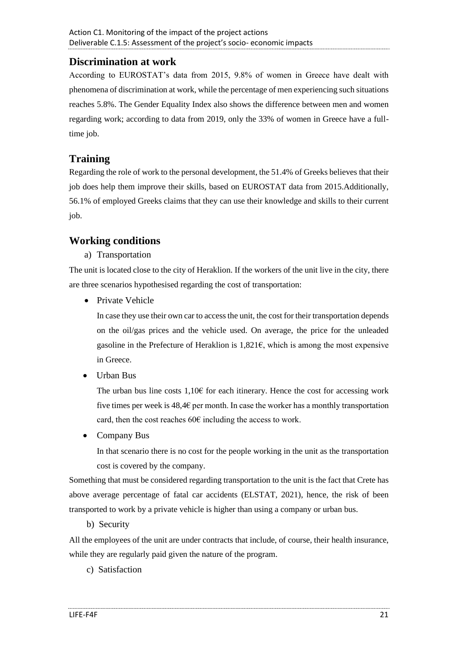## **Discrimination at work**

According to EUROSTAT's data from 2015, 9.8% of women in Greece have dealt with phenomena of discrimination at work, while the percentage of men experiencing such situations reaches 5.8%. The Gender Equality Index also shows the difference between men and women regarding work; according to data from 2019, only the 33% of women in Greece have a fulltime job.

## **Training**

Regarding the role of work to the personal development, the 51.4% of Greeks believes that their job does help them improve their skills, based on EUROSTAT data from 2015.Additionally, 56.1% of employed Greeks claims that they can use their knowledge and skills to their current job.

## **Working conditions**

a) Transportation

The unit is located close to the city of Heraklion. If the workers of the unit live in the city, there are three scenarios hypothesised regarding the cost of transportation:

• Private Vehicle

In case they use their own car to access the unit, the cost for their transportation depends on the oil/gas prices and the vehicle used. On average, the price for the unleaded gasoline in the Prefecture of Heraklion is  $1,821 \text{€}$ , which is among the most expensive in Greece.

• Urban Bus

The urban bus line costs  $1,10 \in \mathbb{C}$  for each itinerary. Hence the cost for accessing work five times per week is 48,4€ per month. In case the worker has a monthly transportation card, then the cost reaches  $60\epsilon$  including the access to work.

• Company Bus

In that scenario there is no cost for the people working in the unit as the transportation cost is covered by the company.

Something that must be considered regarding transportation to the unit is the fact that Crete has above average percentage of fatal car accidents (ELSTAT, 2021), hence, the risk of been transported to work by a private vehicle is higher than using a company or urban bus.

b) Security

All the employees of the unit are under contracts that include, of course, their health insurance, while they are regularly paid given the nature of the program.

c) Satisfaction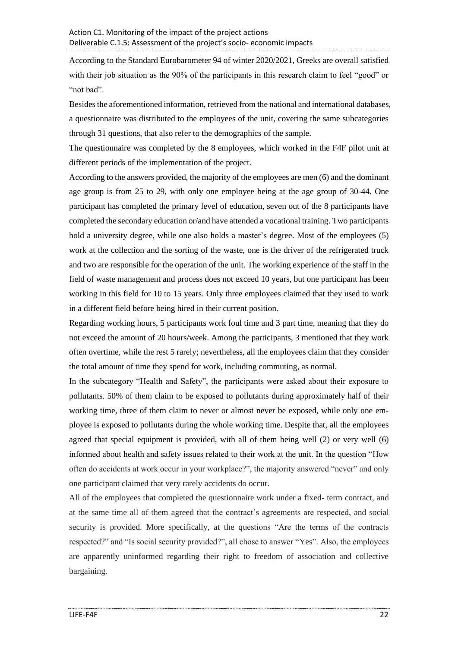According to the Standard Eurobarometer 94 of winter 2020/2021, Greeks are overall satisfied with their job situation as the 90% of the participants in this research claim to feel "good" or "not bad".

Besides the aforementioned information, retrieved from the national and international databases, a questionnaire was distributed to the employees of the unit, covering the same subcategories through 31 questions, that also refer to the demographics of the sample.

The questionnaire was completed by the 8 employees, which worked in the F4F pilot unit at different periods of the implementation of the project.

According to the answers provided, the majority of the employees are men (6) and the dominant age group is from 25 to 29, with only one employee being at the age group of 30-44. One participant has completed the primary level of education, seven out of the 8 participants have completed the secondary education or/and have attended a vocational training. Two participants hold a university degree, while one also holds a master's degree. Most of the employees (5) work at the collection and the sorting of the waste, one is the driver of the refrigerated truck and two are responsible for the operation of the unit. The working experience of the staff in the field of waste management and process does not exceed 10 years, but one participant has been working in this field for 10 to 15 years. Only three employees claimed that they used to work in a different field before being hired in their current position.

Regarding working hours, 5 participants work foul time and 3 part time, meaning that they do not exceed the amount of 20 hours/week. Among the participants, 3 mentioned that they work often overtime, while the rest 5 rarely; nevertheless, all the employees claim that they consider the total amount of time they spend for work, including commuting, as normal.

In the subcategory "Health and Safety", the participants were asked about their exposure to pollutants. 50% of them claim to be exposed to pollutants during approximately half of their working time, three of them claim to never or almost never be exposed, while only one employee is exposed to pollutants during the whole working time. Despite that, all the employees agreed that special equipment is provided, with all of them being well (2) or very well (6) informed about health and safety issues related to their work at the unit. In the question "How often do accidents at work occur in your workplace?", the majority answered "never" and only one participant claimed that very rarely accidents do occur.

All of the employees that completed the questionnaire work under a fixed- term contract, and at the same time all of them agreed that the contract's agreements are respected, and social security is provided. More specifically, at the questions "Are the terms of the contracts respected?" and "Is social security provided?", all chose to answer "Yes". Also, the employees are apparently uninformed regarding their right to freedom of association and collective bargaining.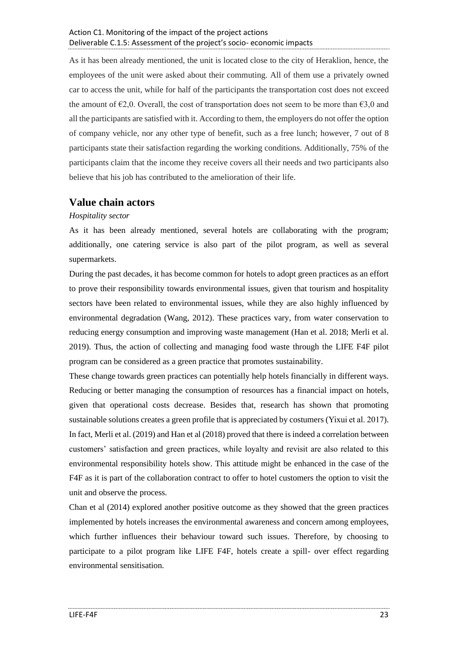As it has been already mentioned, the unit is located close to the city of Heraklion, hence, the employees of the unit were asked about their commuting. All of them use a privately owned car to access the unit, while for half of the participants the transportation cost does not exceed the amount of  $\epsilon$ 2,0. Overall, the cost of transportation does not seem to be more than  $\epsilon$ 3,0 and all the participants are satisfied with it. According to them, the employers do not offer the option of company vehicle, nor any other type of benefit, such as a free lunch; however, 7 out of 8 participants state their satisfaction regarding the working conditions. Additionally, 75% of the participants claim that the income they receive covers all their needs and two participants also believe that his job has contributed to the amelioration of their life.

#### **Value chain actors**

#### *Hospitality sector*

As it has been already mentioned, several hotels are collaborating with the program; additionally, one catering service is also part of the pilot program, as well as several supermarkets.

During the past decades, it has become common for hotels to adopt green practices as an effort to prove their responsibility towards environmental issues, given that tourism and hospitality sectors have been related to environmental issues, while they are also highly influenced by environmental degradation (Wang, 2012). These practices vary, from water conservation to reducing energy consumption and improving waste management (Han et al. 2018; Merli et al. 2019). Thus, the action of collecting and managing food waste through the LIFE F4F pilot program can be considered as a green practice that promotes sustainability.

These change towards green practices can potentially help hotels financially in different ways. Reducing or better managing the consumption of resources has a financial impact on hotels, given that operational costs decrease. Besides that, research has shown that promoting sustainable solutions creates a green profile that is appreciated by costumers (Yixui et al. 2017). In fact, Merli et al. (2019) and Han et al (2018) proved that there is indeed a correlation between customers' satisfaction and green practices, while loyalty and revisit are also related to this environmental responsibility hotels show. This attitude might be enhanced in the case of the F4F as it is part of the collaboration contract to offer to hotel customers the option to visit the unit and observe the process.

Chan et al (2014) explored another positive outcome as they showed that the green practices implemented by hotels increases the environmental awareness and concern among employees, which further influences their behaviour toward such issues. Therefore, by choosing to participate to a pilot program like LIFE F4F, hotels create a spill- over effect regarding environmental sensitisation.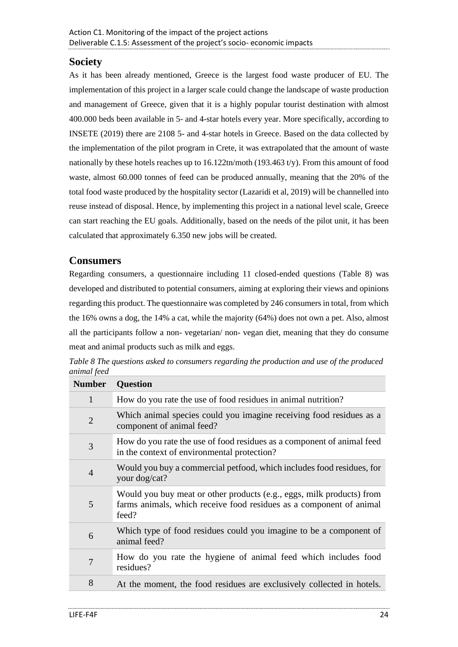## **Society**

As it has been already mentioned, Greece is the largest food waste producer of EU. The implementation of this project in a larger scale could change the landscape of waste production and management of Greece, given that it is a highly popular tourist destination with almost 400.000 beds been available in 5- and 4-star hotels every year. More specifically, according to INSETE (2019) there are 2108 5- and 4-star hotels in Greece. Based on the data collected by the implementation of the pilot program in Crete, it was extrapolated that the amount of waste nationally by these hotels reaches up to 16.122tn/moth (193.463 t/y). From this amount of food waste, almost 60.000 tonnes of feed can be produced annually, meaning that the 20% of the total food waste produced by the hospitality sector (Lazaridi et al, 2019) will be channelled into reuse instead of disposal. Hence, by implementing this project in a national level scale, Greece can start reaching the EU goals. Additionally, based on the needs of the pilot unit, it has been calculated that approximately 6.350 new jobs will be created.

## **Consumers**

Regarding consumers, a questionnaire including 11 closed-ended questions [\(Table 8\)](#page-23-0) was developed and distributed to potential consumers, aiming at exploring their views and opinions regarding this product. The questionnaire was completed by 246 consumers in total, from which the 16% owns a dog, the 14% a cat, while the majority (64%) does not own a pet. Also, almost all the participants follow a non- vegetarian/ non- vegan diet, meaning that they do consume meat and animal products such as milk and eggs.

| <b>Number</b>  | <b>Question</b>                                                                                                                                       |
|----------------|-------------------------------------------------------------------------------------------------------------------------------------------------------|
| 1              | How do you rate the use of food residues in animal nutrition?                                                                                         |
| $\overline{2}$ | Which animal species could you imagine receiving food residues as a<br>component of animal feed?                                                      |
| 3              | How do you rate the use of food residues as a component of animal feed<br>in the context of environmental protection?                                 |
| $\overline{4}$ | Would you buy a commercial petfood, which includes food residues, for<br>your dog/cat?                                                                |
| 5              | Would you buy meat or other products (e.g., eggs, milk products) from<br>farms animals, which receive food residues as a component of animal<br>feed? |
| 6              | Which type of food residues could you imagine to be a component of<br>animal feed?                                                                    |
| $\overline{7}$ | How do you rate the hygiene of animal feed which includes food<br>residues?                                                                           |
| 8              | At the moment, the food residues are exclusively collected in hotels.                                                                                 |

<span id="page-23-0"></span>*Table 8 The questions asked to consumers regarding the production and use of the produced animal feed*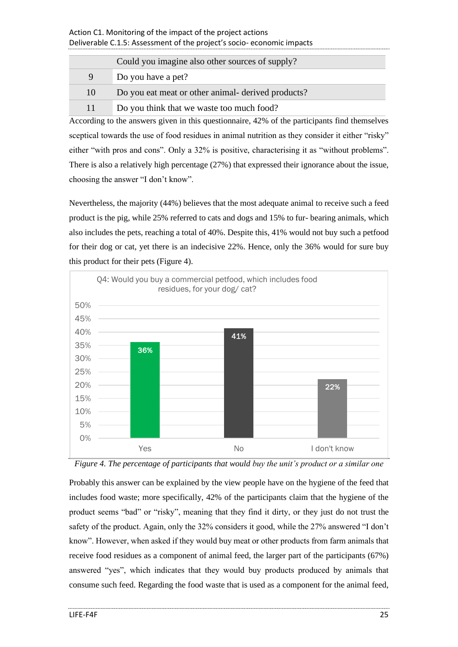#### Action C1. Monitoring of the impact of the project actions Deliverable C.1.5: Assessment of the project's socio- economic impacts

|    | Could you imagine also other sources of supply?   |
|----|---------------------------------------------------|
| 9  | Do you have a pet?                                |
| 10 | Do you eat meat or other animal-derived products? |
| 11 | Do you think that we waste too much food?         |

According to the answers given in this questionnaire, 42% of the participants find themselves sceptical towards the use of food residues in animal nutrition as they consider it either "risky" either "with pros and cons". Only a 32% is positive, characterising it as "without problems". There is also a relatively high percentage (27%) that expressed their ignorance about the issue, choosing the answer "I don't know".

Nevertheless, the majority (44%) believes that the most adequate animal to receive such a feed product is the pig, while 25% referred to cats and dogs and 15% to fur- bearing animals, which also includes the pets, reaching a total of 40%. Despite this, 41% would not buy such a petfood for their dog or cat, yet there is an indecisive 22%. Hence, only the 36% would for sure buy this product for their pets [\(Figure 4\)](#page-24-0).



<span id="page-24-0"></span>

Probably this answer can be explained by the view people have on the hygiene of the feed that includes food waste; more specifically, 42% of the participants claim that the hygiene of the product seems "bad" or "risky", meaning that they find it dirty, or they just do not trust the safety of the product. Again, only the 32% considers it good, while the 27% answered "I don't know". However, when asked if they would buy meat or other products from farm animals that receive food residues as a component of animal feed, the larger part of the participants (67%) answered "yes", which indicates that they would buy products produced by animals that consume such feed. Regarding the food waste that is used as a component for the animal feed,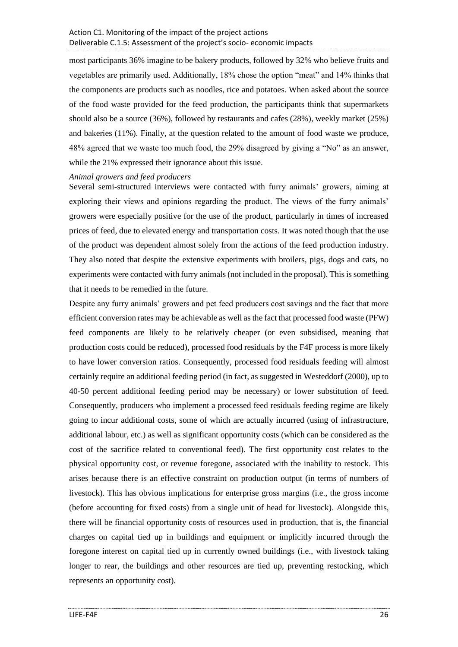most participants 36% imagine to be bakery products, followed by 32% who believe fruits and vegetables are primarily used. Additionally, 18% chose the option "meat" and 14% thinks that the components are products such as noodles, rice and potatoes. When asked about the source of the food waste provided for the feed production, the participants think that supermarkets should also be a source (36%), followed by restaurants and cafes (28%), weekly market (25%) and bakeries (11%). Finally, at the question related to the amount of food waste we produce, 48% agreed that we waste too much food, the 29% disagreed by giving a "No" as an answer, while the 21% expressed their ignorance about this issue.

#### *Animal growers and feed producers*

Several semi-structured interviews were contacted with furry animals' growers, aiming at exploring their views and opinions regarding the product. The views of the furry animals' growers were especially positive for the use of the product, particularly in times of increased prices of feed, due to elevated energy and transportation costs. It was noted though that the use of the product was dependent almost solely from the actions of the feed production industry. They also noted that despite the extensive experiments with broilers, pigs, dogs and cats, no experiments were contacted with furry animals (not included in the proposal). This is something that it needs to be remedied in the future.

Despite any furry animals' growers and pet feed producers cost savings and the fact that more efficient conversion rates may be achievable as well as the fact that processed food waste (PFW) feed components are likely to be relatively cheaper (or even subsidised, meaning that production costs could be reduced), processed food residuals by the F4F process is more likely to have lower conversion ratios. Consequently, processed food residuals feeding will almost certainly require an additional feeding period (in fact, as suggested in Westeddorf (2000), up to 40-50 percent additional feeding period may be necessary) or lower substitution of feed. Consequently, producers who implement a processed feed residuals feeding regime are likely going to incur additional costs, some of which are actually incurred (using of infrastructure, additional labour, etc.) as well as significant opportunity costs (which can be considered as the cost of the sacrifice related to conventional feed). The first opportunity cost relates to the physical opportunity cost, or revenue foregone, associated with the inability to restock. This arises because there is an effective constraint on production output (in terms of numbers of livestock). This has obvious implications for enterprise gross margins (i.e., the gross income (before accounting for fixed costs) from a single unit of head for livestock). Alongside this, there will be financial opportunity costs of resources used in production, that is, the financial charges on capital tied up in buildings and equipment or implicitly incurred through the foregone interest on capital tied up in currently owned buildings (i.e., with livestock taking longer to rear, the buildings and other resources are tied up, preventing restocking, which represents an opportunity cost).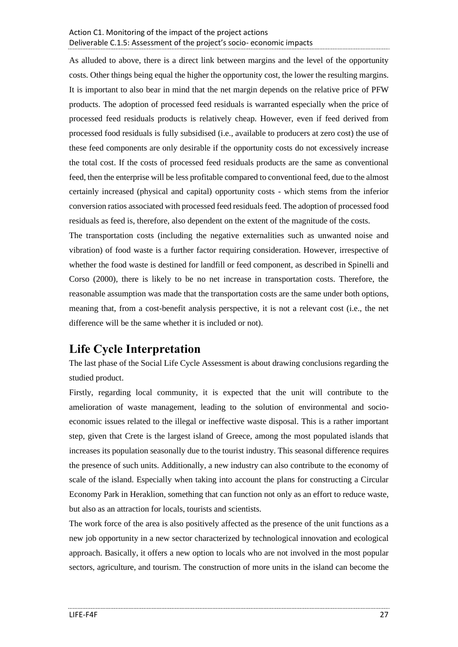As alluded to above, there is a direct link between margins and the level of the opportunity costs. Other things being equal the higher the opportunity cost, the lower the resulting margins. It is important to also bear in mind that the net margin depends on the relative price of PFW products. The adoption of processed feed residuals is warranted especially when the price of processed feed residuals products is relatively cheap. However, even if feed derived from processed food residuals is fully subsidised (i.e., available to producers at zero cost) the use of these feed components are only desirable if the opportunity costs do not excessively increase the total cost. If the costs of processed feed residuals products are the same as conventional feed, then the enterprise will be less profitable compared to conventional feed, due to the almost certainly increased (physical and capital) opportunity costs - which stems from the inferior conversion ratios associated with processed feed residuals feed. The adoption of processed food residuals as feed is, therefore, also dependent on the extent of the magnitude of the costs.

The transportation costs (including the negative externalities such as unwanted noise and vibration) of food waste is a further factor requiring consideration. However, irrespective of whether the food waste is destined for landfill or feed component, as described in Spinelli and Corso (2000), there is likely to be no net increase in transportation costs. Therefore, the reasonable assumption was made that the transportation costs are the same under both options, meaning that, from a cost-benefit analysis perspective, it is not a relevant cost (i.e., the net difference will be the same whether it is included or not).

# <span id="page-26-0"></span>**Life Cycle Interpretation**

The last phase of the Social Life Cycle Assessment is about drawing conclusions regarding the studied product.

Firstly, regarding local community, it is expected that the unit will contribute to the amelioration of waste management, leading to the solution of environmental and socioeconomic issues related to the illegal or ineffective waste disposal. This is a rather important step, given that Crete is the largest island of Greece, among the most populated islands that increases its population seasonally due to the tourist industry. This seasonal difference requires the presence of such units. Additionally, a new industry can also contribute to the economy of scale of the island. Especially when taking into account the plans for constructing a Circular Economy Park in Heraklion, something that can function not only as an effort to reduce waste, but also as an attraction for locals, tourists and scientists.

The work force of the area is also positively affected as the presence of the unit functions as a new job opportunity in a new sector characterized by technological innovation and ecological approach. Basically, it offers a new option to locals who are not involved in the most popular sectors, agriculture, and tourism. The construction of more units in the island can become the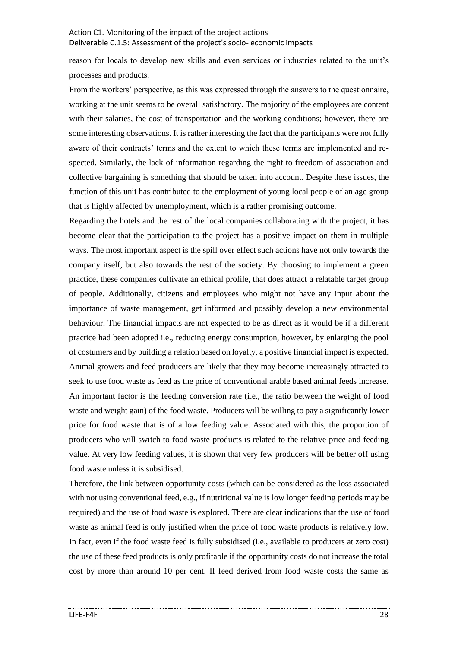reason for locals to develop new skills and even services or industries related to the unit's processes and products.

From the workers' perspective, as this was expressed through the answers to the questionnaire, working at the unit seems to be overall satisfactory. The majority of the employees are content with their salaries, the cost of transportation and the working conditions; however, there are some interesting observations. It is rather interesting the fact that the participants were not fully aware of their contracts' terms and the extent to which these terms are implemented and respected. Similarly, the lack of information regarding the right to freedom of association and collective bargaining is something that should be taken into account. Despite these issues, the function of this unit has contributed to the employment of young local people of an age group that is highly affected by unemployment, which is a rather promising outcome.

Regarding the hotels and the rest of the local companies collaborating with the project, it has become clear that the participation to the project has a positive impact on them in multiple ways. The most important aspect is the spill over effect such actions have not only towards the company itself, but also towards the rest of the society. By choosing to implement a green practice, these companies cultivate an ethical profile, that does attract a relatable target group of people. Additionally, citizens and employees who might not have any input about the importance of waste management, get informed and possibly develop a new environmental behaviour. The financial impacts are not expected to be as direct as it would be if a different practice had been adopted i.e., reducing energy consumption, however, by enlarging the pool of costumers and by building a relation based on loyalty, a positive financial impact is expected. Animal growers and feed producers are likely that they may become increasingly attracted to seek to use food waste as feed as the price of conventional arable based animal feeds increase. An important factor is the feeding conversion rate (i.e., the ratio between the weight of food waste and weight gain) of the food waste. Producers will be willing to pay a significantly lower price for food waste that is of a low feeding value. Associated with this, the proportion of producers who will switch to food waste products is related to the relative price and feeding value. At very low feeding values, it is shown that very few producers will be better off using food waste unless it is subsidised.

Therefore, the link between opportunity costs (which can be considered as the loss associated with not using conventional feed, e.g., if nutritional value is low longer feeding periods may be required) and the use of food waste is explored. There are clear indications that the use of food waste as animal feed is only justified when the price of food waste products is relatively low. In fact, even if the food waste feed is fully subsidised (i.e., available to producers at zero cost) the use of these feed products is only profitable if the opportunity costs do not increase the total cost by more than around 10 per cent. If feed derived from food waste costs the same as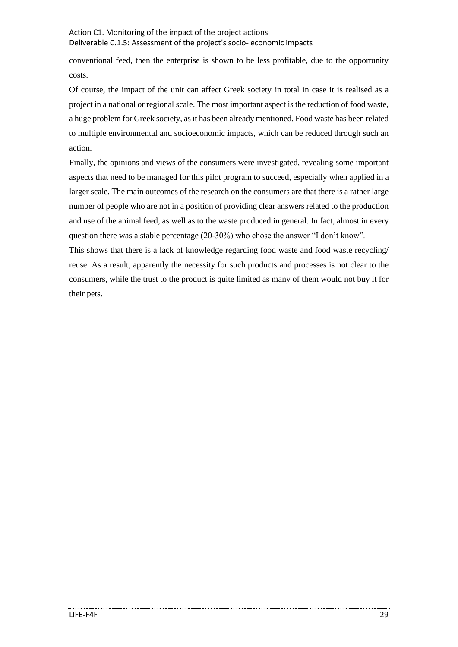conventional feed, then the enterprise is shown to be less profitable, due to the opportunity costs.

Of course, the impact of the unit can affect Greek society in total in case it is realised as a project in a national or regional scale. The most important aspect is the reduction of food waste, a huge problem for Greek society, as it has been already mentioned. Food waste has been related to multiple environmental and socioeconomic impacts, which can be reduced through such an action.

Finally, the opinions and views of the consumers were investigated, revealing some important aspects that need to be managed for this pilot program to succeed, especially when applied in a larger scale. The main outcomes of the research on the consumers are that there is a rather large number of people who are not in a position of providing clear answers related to the production and use of the animal feed, as well as to the waste produced in general. In fact, almost in every question there was a stable percentage (20-30%) who chose the answer "I don't know".

This shows that there is a lack of knowledge regarding food waste and food waste recycling/ reuse. As a result, apparently the necessity for such products and processes is not clear to the consumers, while the trust to the product is quite limited as many of them would not buy it for their pets.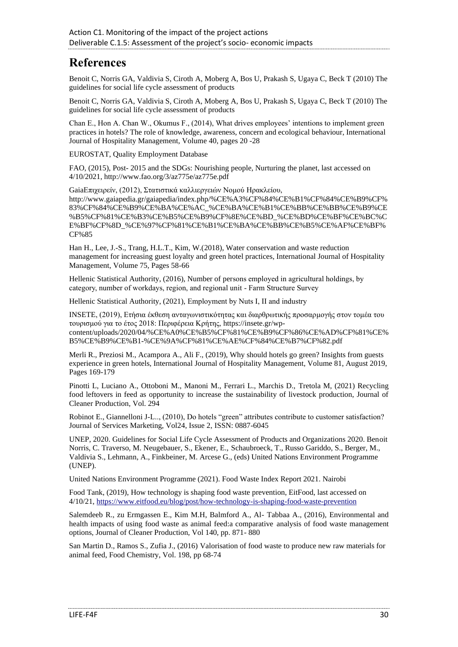## <span id="page-29-0"></span>**References**

Benoit C, Norris GA, Valdivia S, Ciroth A, Moberg A, Bos U, Prakash S, Ugaya C, Beck T (2010) The guidelines for social life cycle assessment of products

Benoit C, Norris GA, Valdivia S, Ciroth A, Moberg A, Bos U, Prakash S, Ugaya C, Beck T (2010) The guidelines for social life cycle assessment of products

Chan E., Hon A. Chan W., Okumus F., (2014), What drives employees' intentions to implement green practices in hotels? The role of knowledge, awareness, concern and ecological behaviour, International Journal of Hospitality Management, Volume 40, pages 20 -28

EUROSTAT, Quality Employment Database

FAO, (2015), Post- 2015 and the SDGs: Nourishing people, Nurturing the planet, last accessed on 4/10/2021, http://www.fao.org/3/az775e/az775e.pdf

GaiaΕπιχειρείν, (2012), Στατιστικά καλλιεργειών Νομού Ηρακλείου, http://www.gaiapedia.gr/gaiapedia/index.php/%CE%A3%CF%84%CE%B1%CF%84%CE%B9%CF% 83%CF%84%CE%B9%CE%BA%CE%AC\_%CE%BA%CE%B1%CE%BB%CE%BB%CE%B9%CE %B5%CF%81%CE%B3%CE%B5%CE%B9%CF%8E%CE%BD\_%CE%BD%CE%BF%CE%BC%C E%BF%CF%8D\_%CE%97%CF%81%CE%B1%CE%BA%CE%BB%CE%B5%CE%AF%CE%BF% CF%85

Han H., Lee, J.-S., Trang, H.L.T., Kim, W.(2018), Water conservation and waste reduction management for increasing guest loyalty and green hotel practices, International Journal of Hospitality Management, Volume 75, Pages 58-66

Hellenic Statistical Authority, (2016), Number of persons employed in agricultural holdings, by category, number of workdays, region, and regional unit - Farm Structure Survey

Hellenic Statistical Authority, (2021), Employment by Nuts I, ΙΙ and industry

INSETE, (2019), Ετήσια έκθεση ανταγωνιστικότητας και διαρθρωτικής προσαρμογής στον τομέα του τουρισμού για το έτος 2018: Περιφέρεια Κρήτης, https://insete.gr/wpcontent/uploads/2020/04/%CE%A0%CE%B5%CF%81%CE%B9%CF%86%CE%AD%CF%81%CE% B5%CE%B9%CE%B1-%CE%9A%CF%81%CE%AE%CF%84%CE%B7%CF%82.pdf

Merli R., Preziosi M., Acampora A., Ali F., (2019), Why should hotels go green? Insights from guests experience in green hotels, International Journal of Hospitality Management, Volume 81, August 2019, Pages 169-179

Pinotti L, Luciano A., Ottoboni M., Manoni M., Ferrari L., Marchis D., Tretola M, (2021) Recycling food leftovers in feed as opportunity to increase the sustainability of livestock production, Journal of Cleaner Production, [Vol. 294](https://www.sciencedirect.com/science/journal/09596526/294/supp/C)

Robinot E., Giannelloni J-L.., (2010), Do hotels "green" attributes contribute to customer satisfaction? Journal of Services Marketing, Vol24, Issue 2, ISSN: 0887-6045

UNEP, 2020. Guidelines for Social Life Cycle Assessment of Products and Organizations 2020. Benoit Norris, C. Traverso, M. Neugebauer, S., Ekener, E., Schaubroeck, T., Russo Gariddo, S., Berger, M., Valdivia S., Lehmann, A., Finkbeiner, M. Arcese G., (eds) United Nations Environment Programme (UNEP).

United Nations Environment Programme (2021). Food Waste Index Report 2021. Nairobi

Food Tank, (2019), How technology is shaping food waste prevention, EitFood, last accessed on 4/10/21,<https://www.eitfood.eu/blog/post/how-technology-is-shaping-food-waste-prevention>

Salemdeeb R., zu Ermgassen E., Kim M.H, Balmford A., Al- Tabbaa A., (2016), Environmental and health impacts of using food waste as animal feed:a comparative analysis of food waste management options, Journal of Cleaner Production, Vol 140, pp. 871- 880

San Martin D., Ramos S., Zufia J., (2016) Valorisation of food waste to produce new raw materials for animal feed, Food Chemistry, Vol. 198, pp 68-74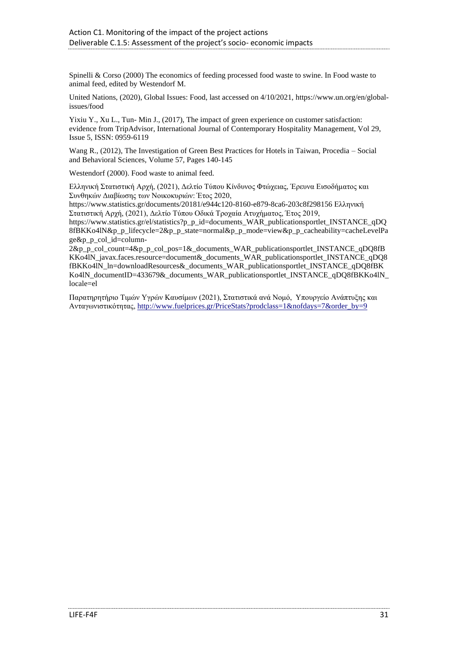Spinelli & Corso (2000) The economics of feeding processed food waste to swine. In Food waste to animal feed, edited by Westendorf M.

United Nations, (2020), Global Issues: Food, last accessed on 4/10/2021, https://www.un.org/en/globalissues/food

Yixiu Y., Xu L., Tun- Min J., (2017), The impact of green experience on customer satisfaction: evidence from TripAdvisor, International Journal of Contemporary Hospitality Management, Vol 29, Issue 5, ISSN: 0959-6119

Wang R., (2012), The Investigation of Green Best Practices for Hotels in Taiwan, Procedia – Social and Behavioral Sciences, Volume 57, Pages 140-145

Westendorf (2000). Food waste to animal feed.

Ελληνική Στατιστική Αρχή, (2021), Δελτίο Τύπου Κίνδυνος Φτώχειας, Έρευνα Εισοδήματος και Συνθηκών Διαβίωσης των Νοικοκυριών: Έτος 2020,

https://www.statistics.gr/documents/20181/e944c120-8160-e879-8ca6-203c8f298156 Ελληνική Στατιστική Αρχή, (2021), Δελτίο Τύπου Οδικά Τροχαία Ατυχήματος, Έτος 2019,

https://www.statistics.gr/el/statistics?p\_p\_id=documents\_WAR\_publicationsportlet\_INSTANCE\_qDQ 8fBKKo4lN&p\_p\_lifecycle=2&p\_p\_state=normal&p\_p\_mode=view&p\_p\_cacheability=cacheLevelPa ge&p\_p\_col\_id=column-

 $2&p$  p\_col\_count=4 $&p$  p\_col\_pos=1&\_documents\_WAR\_publicationsportlet\_INSTANCE\_qDQ8fB KKo4lN\_javax.faces.resource=document&\_documents\_WAR\_publicationsportlet\_INSTANCE\_qDO8 fBKKo4lN\_ln=downloadResources&\_documents\_WAR\_publicationsportlet\_INSTANCE\_qDQ8fBK Ko4lN\_documentID=433679&\_documents\_WAR\_publicationsportlet\_INSTANCE\_qDQ8fBKKo4lN locale=el

Παρατηρητήριο Τιμών Υγρών Καυσίμων (2021), Στατιστικά ανά Νομό, Υπουργείο Ανάπτυξης και Ανταγωνιστικότητας[, http://www.fuelprices.gr/PriceStats?prodclass=1&nofdays=7&order\\_by=9](http://www.fuelprices.gr/PriceStats?prodclass=1&nofdays=7&order_by=9)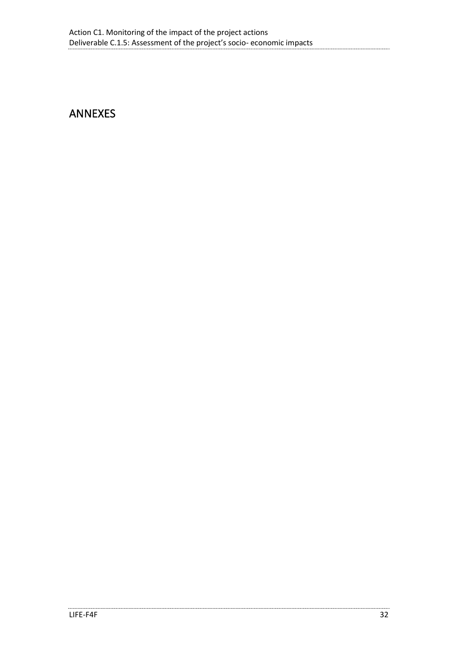# <span id="page-31-0"></span>ANNEXES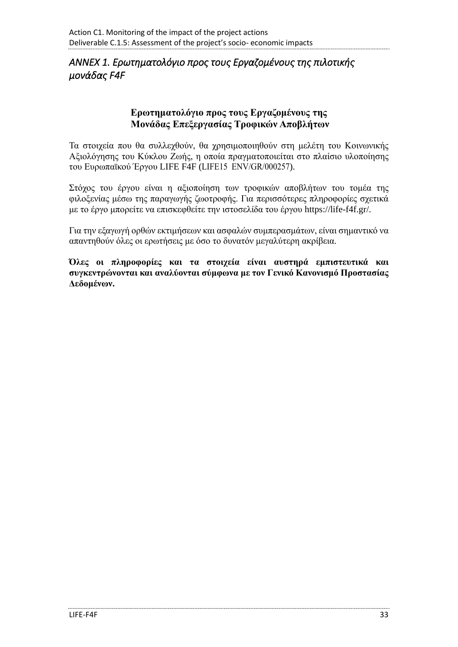## <span id="page-32-0"></span>*ANNEX 1. Ερωτηματολόγιο προς τους Εργαζομένους της πιλοτικής μονάδας F4F*

### **Ερωτηματολόγιο προς τους Εργαζομένους της Μονάδας Επεξεργασίας Τροφικών Αποβλήτων**

Τα στοιχεία που θα συλλεχθούν, θα χρησιμοποιηθούν στη μελέτη του Κοινωνικής Αξιολόγησης του Κύκλου Ζωής, η οποία πραγματοποιείται στο πλαίσιο υλοποίησης του Ευρωπαϊκού Έργου LIFE F4F (LIFE15 ENV/GR/000257).

Στόχος του έργου είναι η αξιοποίηση των τροφικών αποβλήτων του τομέα της φιλοξενίας μέσω της παραγωγής ζωοτροφής. Για περισσότερες πληροφορίες σχετικά με το έργο μπορείτε να επισκεφθείτε την ιστοσελίδα του έργου [https://life-f4f.gr/.](https://life-f4f.gr/)

Για την εξαγωγή ορθών εκτιμήσεων και ασφαλών συμπερασμάτων, είναι σημαντικό να απαντηθούν όλες οι ερωτήσεις με όσο το δυνατόν μεγαλύτερη ακρίβεια.

**Όλες οι πληροφορίες και τα στοιχεία είναι αυστηρά εμπιστευτικά και συγκεντρώνονται και αναλύονται σύμφωνα με τον Γενικό Κανονισμό Προστασίας Δεδομένων.**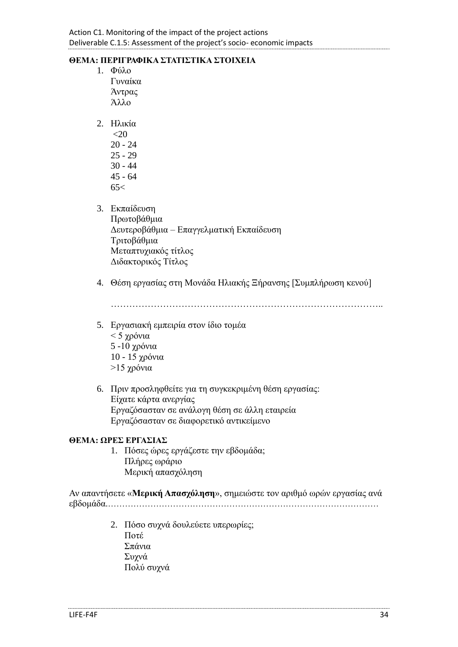#### **ΘΕΜΑ: ΠΕΡΙΓΡΑΦΙΚΑ ΣΤΑΤΙΣΤΙΚΑ ΣΤΟΙΧΕΙΑ**

- 1. Φύλο Γυναίκα Άντρας Άλλο
- 2. Ηλικία  $<20$ 
	- 20 24 25 - 29 30 - 44 45 - 64  $65<$
- 3. Εκπαίδευση Πρωτοβάθμια Δευτεροβάθμια – Επαγγελματική Εκπαίδευση Τριτοβάθμια Μεταπτυχιακός τίτλος Διδακτορικός Τίτλος
- 4. Θέση εργασίας στη Μονάδα Ηλιακής Ξήρανσης [Συμπλήρωση κενού]

……………………………………………………………………………..

- 5. Εργασιακή εμπειρία στον ίδιο τομέα < 5 χρόνια 5 -10 χρόνια 10 - 15 χρόνια >15 χρόνια
- 6. Πριν προσληφθείτε για τη συγκεκριμένη θέση εργασίας: Είχατε κάρτα ανεργίας Εργαζόσασταν σε ανάλογη θέση σε άλλη εταιρεία Εργαζόσασταν σε διαφορετικό αντικείμενο

#### **ΘΕΜΑ: ΩΡΕΣ ΕΡΓΑΣΙΑΣ**

1. Πόσες ώρες εργάζεστε την εβδομάδα; Πλήρες ωράριο Μερική απασχόληση

Αν απαντήσετε «**Μερική Απασχόληση**», σημειώστε τον αριθμό ωρών εργασίας ανά εβδομάδα.……………………………………………………………………………………

> 2. Πόσο συχνά δουλεύετε υπερωρίες; Ποτέ Σπάνια Συχνά Πολύ συχνά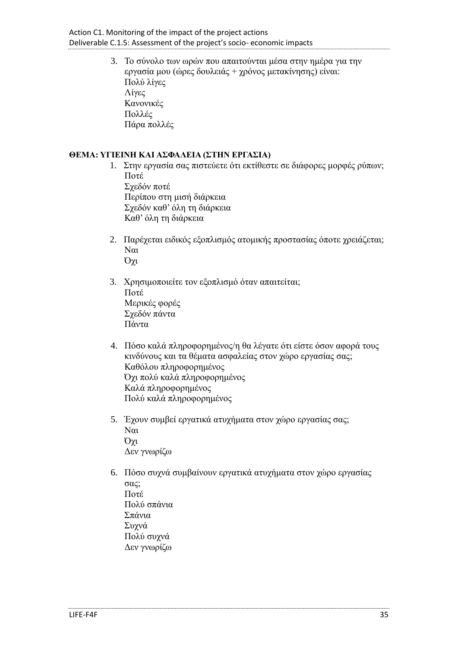3. Το σύνολο των ωρών που απαιτούνται μέσα στην ημέρα για την εργασία μου (ώρες δουλειάς + χρόνος μετακίνησης) είναι: Πολύ λίγες Λίγες Κανονικές Πολλές Πάρα πολλές

#### **ΘΕΜΑ: ΥΓΙΕΙΝΗ ΚΑΙ ΑΣΦΑΛΕΙΑ (ΣΤΗΝ ΕΡΓΑΣΙΑ)**

- 1. Στην εργασία σας πιστεύετε ότι εκτίθεστε σε διάφορες μορφές ρύπων; Ποτέ Σχεδόν ποτέ Περίπου στη μισή διάρκεια Σχεδόν καθ' όλη τη διάρκεια Καθ' όλη τη διάρκεια
- 2. Παρέχεται ειδικός εξοπλισμός ατομικής προστασίας όποτε χρειάζεται; Ναι Όχι
- 3. Χρησιμοποιείτε τον εξοπλισμό όταν απαιτείται; Ποτέ Μερικές φορές Σχεδόν πάντα Πάντα
- 4. Πόσο καλά πληροφορημένος/η θα λέγατε ότι είστε όσον αφορά τους κινδύνους και τα θέματα ασφαλείας στον χώρο εργασίας σας; Καθόλου πληροφορημένος Όχι πολύ καλά πληροφορημένος Καλά πληροφορημένος Πολύ καλά πληροφορημένος
- 5. Έχουν συμβεί εργατικά ατυχήματα στον χώρο εργασίας σας; Ναι Όχι Δεν γνωρίζω
- 6. Πόσο συχνά συμβαίνουν εργατικά ατυχήματα στον χώρο εργασίας σας; Ποτέ Πολύ σπάνια Σπάνια Συχνά Πολύ συχνά Δεν γνωρίζω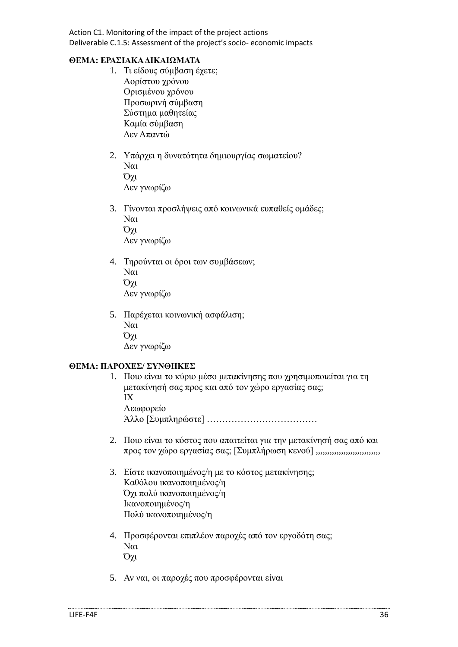#### **ΘΕΜΑ: ΕΡΑΣΙΑΚΑ ΔΙΚΑΙΩΜΑΤΑ**

- 1. Τι είδους σύμβαση έχετε; Αορίστου χρόνου Ορισμένου χρόνου Προσωρινή σύμβαση Σύστημα μαθητείας Καμία σύμβαση Δεν Απαντώ
- 2. Υπάρχει η δυνατότητα δημιουργίας σωματείου? Ναι Όχι Δεν γνωρίζω
- 3. Γίνονται προσλήψεις από κοινωνικά ευπαθείς ομάδες; Ναι Όχι Δεν γνωρίζω
- 4. Τηρούνται οι όροι των συμβάσεων; Ναι Όχι Δεν γνωρίζω
- 5. Παρέχεται κοινωνική ασφάλιση; Ναι Όχι Δεν γνωρίζω

#### **ΘΕΜΑ: ΠΑΡΟΧΕΣ/ ΣΥΝΘΗΚΕΣ**

- 1. Ποιο είναι το κύριο μέσο μετακίνησης που χρησιμοποιείται για τη μετακίνησή σας προς και από τον χώρο εργασίας σας; ΙΧ Λεωφορείο Άλλο [Συμπληρώστε] ………………………………
- 2. Ποιο είναι το κόστος που απαιτείται για την μετακίνησή σας από και προς τον χώρο εργασίας σας; [Συμπλήρωση κενού] ,,,,,,,,,,,,,,,,,,,,,,,,,,,,
- 3. Είστε ικανοποιημένος/η με το κόστος μετακίνησης; Καθόλου ικανοποιημένος/η Όχι πολύ ικανοποιημένος/η Ικανοποιημένος/η Πολύ ικανοποιημένος/η
- 4. Προσφέρονται επιπλέον παροχές από τον εργοδότη σας; Ναι Όχι
- 5. Αν ναι, οι παροχές που προσφέρονται είναι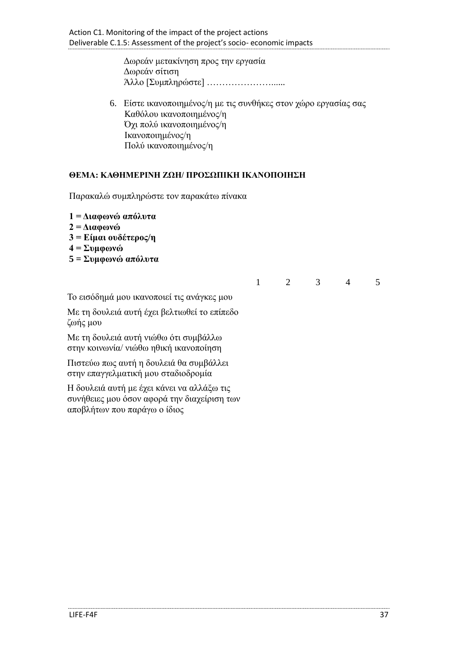Δωρεάν μετακίνηση προς την εργασία Δωρεάν σίτιση Άλλο [Συμπληρώστε] …………………......

6. Είστε ικανοποιημένος/η με τις συνθήκες στον χώρο εργασίας σας Καθόλου ικανοποιημένος/η Όχι πολύ ικανοποιημένος/η Ικανοποιημένος/η Πολύ ικανοποιημένος/η

#### **ΘΕΜΑ: ΚΑΘΗΜΕΡΙΝΗ ΖΩΗ/ ΠΡΟΣΩΠΙΚΗ ΙΚΑΝΟΠΟΙΗΣΗ**

Παρακαλώ συμπληρώστε τον παρακάτω πίνακα

- **1 = Διαφωνώ απόλυτα**
- **2 = Διαφωνώ**
- **3 = Είμαι ουδέτερος/η**
- **4 = Συμφωνώ**
- **5 = Συμφωνώ απόλυτα**

1 2 3 4 5

Το εισόδημά μου ικανοποιεί τις ανάγκες μου

Με τη δουλειά αυτή έχει βελτιωθεί το επίπεδο ζωής μου

Με τη δουλειά αυτή νιώθω ότι συμβάλλω στην κοινωνία/ νιώθω ηθική ικανοποίηση

Πιστεύω πως αυτή η δουλειά θα συμβάλλει στην επαγγελματική μου σταδιοδρομία

Η δουλειά αυτή με έχει κάνει να αλλάξω τις συνήθειες μου όσον αφορά την διαχείριση των αποβλήτων που παράγω ο ίδιος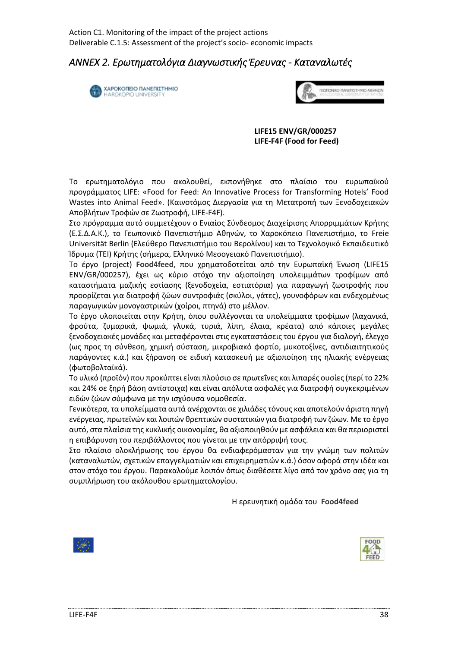## <span id="page-37-0"></span>*ANNEX 2. Ερωτηματολόγια Διαγνωστικής Έρευνας - Καταναλωτές*

ΧΑΡΟΚΟΠΕΙΟ ΠΑΝΕΠΙΣΤΗΜΙΟ HAROKOPIO UNIVERSITY



**LIFE15 ENV/GR/000257 LIFE-F4F (Food for Feed)** 

Τo ερωτηματολόγιο που ακολουθεί, εκπονήθηκε στο πλαίσιο του ευρωπαϊκού προγράμματος LIFE: «Food for Feed: An Innovative Process for Transforming Hotels' Food Wastes into Animal Feed». (Καινοτόμος Διεργασία για τη Μετατροπή των Ξενοδοχειακών Αποβλήτων Τροφών σε Ζωοτροφή, LIFE-F4F).

Στο πρόγραμμα αυτό συμμετέχουν ο Ενιαίος Σύνδεσμος Διαχείρισης Απορριμμάτων Κρήτης (Ε.Σ.Δ.Α.Κ.), το Γεωπονικό Πανεπιστήμιο Αθηνών, το Χαροκόπειο Πανεπιστήμιο, το Freie Universität Berlin (Ελεύθερο Πανεπιστήμιο του Βερολίνου) και το Τεχνολογικό Εκπαιδευτικό Ίδρυμα (ΤΕΙ) Κρήτης (σήμερα, Ελληνικό Μεσογειακό Πανεπιστήμιο).

Το έργο (project) **Food4feed,** που χρηματοδοτείται από την Ευρωπαϊκή Ένωση (LIFE15 ENV/GR/000257), έχει ως κύριο στόχο την αξιοποίηση υπολειμμάτων τροφίμων από καταστήματα μαζικής εστίασης (ξενοδοχεία, εστιατόρια) για παραγωγή ζωοτροφής που προορίζεται για διατροφή ζώων συντροφιάς (σκύλοι, γάτες), γουνοφόρων και ενδεχομένως παραγωγικών μονογαστρικών (χοίροι, πτηνά) στο μέλλον.

Το έργο υλοποιείται στην Κρήτη, όπου συλλέγονται τα υπολείμματα τροφίμων (λαχανικά, φρούτα, ζυμαρικά, ψωμιά, γλυκά, τυριά, λίπη, έλαια, κρέατα) από κάποιες μεγάλες ξενοδοχειακές μονάδες και μεταφέρονται στις εγκαταστάσεις του έργου για διαλογή, έλεγχο (ως προς τη σύνθεση, χημική σύσταση, μικροβιακό φορτίο, μυκοτοξίνες, αντιδιαιτητικούς παράγοντες κ.ά.) και ξήρανση σε ειδική κατασκευή με αξιοποίηση της ηλιακής ενέργειας (φωτοβολταϊκά).

Το υλικό (προϊόν) που προκύπτει είναι πλούσιο σε πρωτεΐνες και λιπαρές ουσίες (περί το 22% και 24% σε ξηρή βάση αντίστοιχα) και είναι απόλυτα ασφαλές για διατροφή συγκεκριμένων ειδών ζώων σύμφωνα με την ισχύουσα νομοθεσία.

Γενικότερα, τα υπολείμματα αυτά ανέρχονται σε χιλιάδες τόνους και αποτελούν άριστη πηγή ενέργειας, πρωτεϊνών και λοιπών θρεπτικών συστατικών για διατροφή των ζώων. Με το έργο αυτό, στα πλαίσια της κυκλικής οικονομίας, θα αξιοποιηθούν με ασφάλεια και θα περιοριστεί η επιβάρυνση του περιβάλλοντος που γίνεται με την απόρριψή τους.

Στο πλαίσιο ολοκλήρωσης του έργου θα ενδιαφερόμασταν για την γνώμη των πολιτών (καταναλωτών, σχετικών επαγγελματιών και επιχειρηματιών κ.ά.) όσον αφορά στην ιδέα και στον στόχο του έργου. Παρακαλούμε λοιπόν όπως διαθέσετε λίγο από τον χρόνο σας για τη συμπλήρωση του ακόλουθου ερωτηματολογίου.

Η ερευνητική ομάδα του **Food4feed**



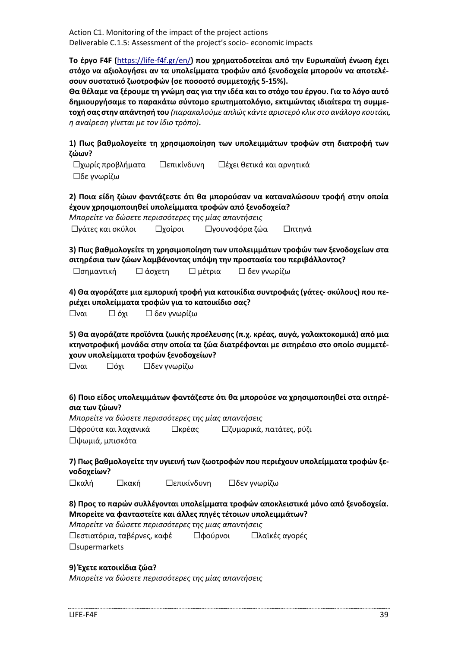**Το έργο F4F (**<https://life-f4f.gr/en/>**) που χρηματοδοτείται από την Ευρωπαϊκή ένωση έχει στόχο να αξιολογήσει αν τα υπολείμματα τροφών από ξενοδοχεία μπορούν να αποτελέσουν συστατικό ζωοτροφών (σε ποσοστό συμμετοχής 5-15%).**

**Θα θέλαμε να ξέρουμε τη γνώμη σας για την ιδέα και το στόχο του έργου. Για το λόγο αυτό δημιουργήσαμε το παρακάτω σύντομο ερωτηματολόγιο, εκτιμώντας ιδιαίτερα τη συμμετοχή σας στην απάντησή του** *(παρακαλούμε απλώς κάντε αριστερό κλικ στο ανάλογο κουτάκι, η αναίρεση γίνεται με τον ίδιο τρόπο)***.**

**1) Πως βαθμολογείτε τη χρησιμοποίηση των υπολειμμάτων τροφών στη διατροφή των ζώων?**

 ☐χωρίς προβλήματα ☐επικίνδυνη ☐έχει θετικά και αρνητικά ☐δε γνωρίζω

#### **2) Ποια είδη ζώων φαντάζεστε ότι θα μπορούσαν να καταναλώσουν τροφή στην οποία έχουν χρησιμοποιηθεί υπολείμματα τροφών από ξενοδοχεία?**

*Μπορείτε να δώσετε περισσότερες της μίας απαντήσεις* ☐γάτες και σκύλοι ☐χοίροι ☐γουνοφόρα ζώα ☐πτηνά

**3) Πως βαθμολογείτε τη χρησιμοποίηση των υπολειμμάτων τροφών των ξενοδοχείων στα σιτηρέσια των ζώων λαμβάνοντας υπόψη την προστασία του περιβάλλοντος?**

☐σημαντική ☐ άσχετη ☐ μέτρια ☐ δεν γνωρίζω

#### **4) Θα αγοράζατε μια εμπορική τροφή για κατοικίδια συντροφιάς (γάτες- σκύλους) που περιέχει υπολείμματα τροφών για το κατοικίδιο σας?**

☐ναι ☐ όχι ☐ δεν γνωρίζω

**5) Θα αγοράζατε προϊόντα ζωικής προέλευσης (π.χ. κρέας, αυγά, γαλακτοκομικά) από μια κτηνοτροφική μονάδα στην οποία τα ζώα διατρέφονται με σιτηρέσιο στο οποίο συμμετέχουν υπολείμματα τροφών ξενοδοχείων?**

☐ναι ☐όχι ☐δεν γνωρίζω

#### **6) Ποιο είδος υπολειμμάτων φαντάζεστε ότι θα μπορούσε να χρησιμοποιηθεί στα σιτηρέσια των ζώων?**

*Μπορείτε να δώσετε περισσότερες της μίας απαντήσεις*

| □φρούτα και λαχανικά | □κρέας | □ζυμαρικά, πατάτες, ρύζι |
|----------------------|--------|--------------------------|
| □ψωμιά, μπισκότα     |        |                          |

#### **7) Πως βαθμολογείτε την υγιεινή των ζωοτροφών που περιέχουν υπολείμματα τροφών ξενοδοχείων?**

☐καλή ☐κακή ☐επικίνδυνη ☐δεν γνωρίζω

#### **8) Προς το παρών συλλέγονται υπολείμματα τροφών αποκλειστικά μόνο από ξενοδοχεία. Μπορείτε να φανταστείτε και άλλες πηγές τέτοιων υπολειμμάτων?**

*Μπορείτε να δώσετε περισσότερες της μιας απαντήσεις*

☐εστιατόρια, ταβέρνες, καφέ ☐φούρνοι ☐λαϊκές αγορές ☐supermarkets

#### **9) Έχετε κατοικίδια ζώα?**

*Μπορείτε να δώσετε περισσότερες της μίας απαντήσεις*